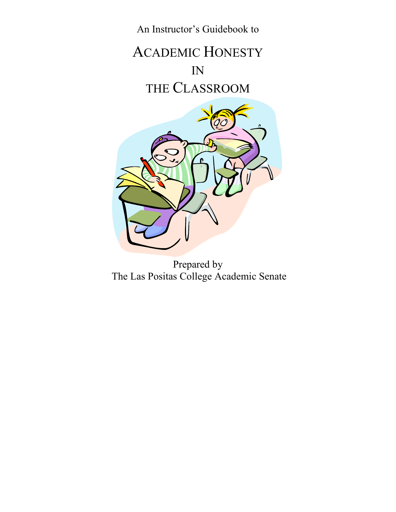

Prepared by The Las Positas College Academic Senate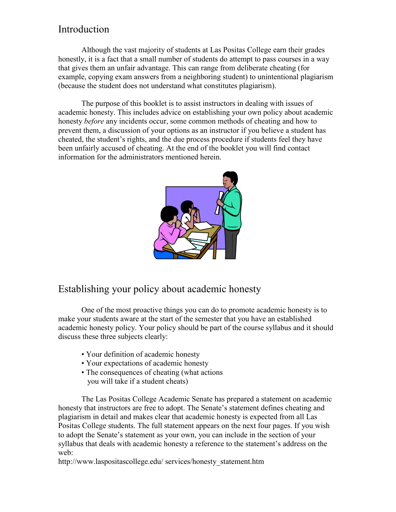# Introduction

Although the vast majority of students at Las Positas College earn their grades honestly, it is a fact that a small number of students do attempt to pass courses in a way that gives them an unfair advantage. This can range from deliberate cheating (for example, copying exam answers from a neighboring student) to unintentional plagiarism (because the student does not understand what constitutes plagiarism).

The purpose of this booklet is to assist instructors in dealing with issues of academic honesty. This includes advice on establishing your own policy about academic honesty *before* any incidents occur, some common methods of cheating and how to prevent them, a discussion of your options as an instructor if you believe a student has cheated, the student's rights, and the due process procedure if students feel they have been unfairly accused of cheating. At the end of the booklet you will find contact information for the administrators mentioned herein.



## Establishing your policy about academic honesty

One of the most proactive things you can do to promote academic honesty is to make your students aware at the start of the semester that you have an established academic honesty policy. Your policy should be part of the course syllabus and it should discuss these three subjects clearly:

- Your definition of academic honesty
- Your expectations of academic honesty
- The consequences of cheating (what actions you will take if a student cheats)

The Las Positas College Academic Senate has prepared a statement on academic honesty that instructors are free to adopt. The Senate's statement defines cheating and plagiarism in detail and makes clear that academic honesty is expected from all Las Positas College students. The full statement appears on the next four pages. If you wish to adopt the Senate's statement as your own, you can include in the section of your syllabus that deals with academic honesty a reference to the statement's address on the web:

http://www.laspositascollege.edu/ services/honesty\_statement.htm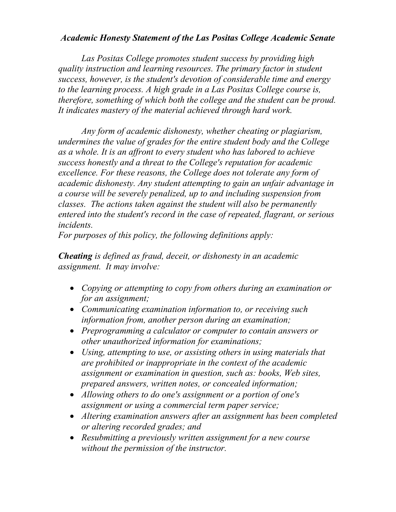## *Academic Honesty Statement of the Las Positas College Academic Senate*

*Las Positas College promotes student success by providing high quality instruction and learning resources. The primary factor in student success, however, is the student's devotion of considerable time and energy to the learning process. A high grade in a Las Positas College course is, therefore, something of which both the college and the student can be proud. It indicates mastery of the material achieved through hard work.*

*Any form of academic dishonesty, whether cheating or plagiarism, undermines the value of grades for the entire student body and the College as a whole. It is an affront to every student who has labored to achieve success honestly and a threat to the College's reputation for academic excellence. For these reasons, the College does not tolerate any form of academic dishonesty. Any student attempting to gain an unfair advantage in a course will be severely penalized, up to and including suspension from classes. The actions taken against the student will also be permanently entered into the student's record in the case of repeated, flagrant, or serious incidents.*

*For purposes of this policy, the following definitions apply:* 

*Cheating is defined as fraud, deceit, or dishonesty in an academic assignment. It may involve:* 

- *Copying or attempting to copy from others during an examination or for an assignment;*
- *Communicating examination information to, or receiving such information from, another person during an examination;*
- *Preprogramming a calculator or computer to contain answers or other unauthorized information for examinations;*
- *Using, attempting to use, or assisting others in using materials that are prohibited or inappropriate in the context of the academic assignment or examination in question, such as: books, Web sites, prepared answers, written notes, or concealed information;*
- *Allowing others to do one's assignment or a portion of one's assignment or using a commercial term paper service;*
- *Altering examination answers after an assignment has been completed or altering recorded grades; and*
- *Resubmitting a previously written assignment for a new course without the permission of the instructor.*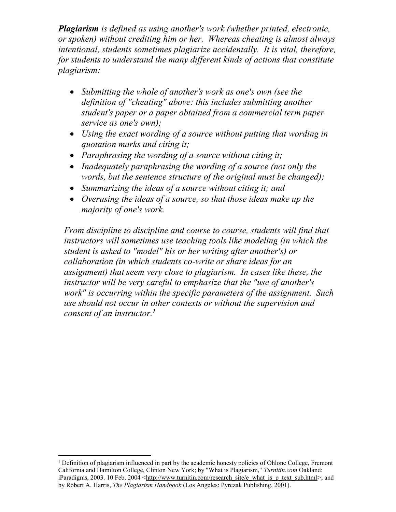*Plagiarism is defined as using another's work (whether printed, electronic, or spoken) without crediting him or her. Whereas cheating is almost always intentional, students sometimes plagiarize accidentally. It is vital, therefore, for students to understand the many different kinds of actions that constitute plagiarism:*

- *Submitting the whole of another's work as one's own (see the definition of "cheating" above: this includes submitting another student's paper or a paper obtained from a commercial term paper service as one's own);*
- *Using the exact wording of a source without putting that wording in quotation marks and citing it;*
- *Paraphrasing the wording of a source without citing it;*
- *Inadequately paraphrasing the wording of a source (not only the words, but the sentence structure of the original must be changed);*
- *Summarizing the ideas of a source without citing it; and*
- *Overusing the ideas of a source, so that those ideas make up the majority of one's work.*

*From discipline to discipline and course to course, students will find that instructors will sometimes use teaching tools like modeling (in which the student is asked to "model" his or her writing after another's) or collaboration (in which students co-write or share ideas for an assignment) that seem very close to plagiarism. In cases like these, the instructor will be very careful to emphasize that the "use of another's work" is occurring within the specific parameters of the assignment. Such use should not occur in other contexts or without the supervision and consent of an instructor.<sup>1</sup>*

 $\overline{a}$ 

<sup>&</sup>lt;sup>1</sup> Definition of plagiarism influenced in part by the academic honesty policies of Ohlone College, Fremont California and Hamilton College, Clinton New York; by "What is Plagiarism," *Turnitin.com* Oakland: iParadigms, 2003. 10 Feb. 2004 [<http://www.turnitin.com/research\\_site/e\\_what\\_is\\_p\\_text\\_sub.html>](http://www.turnitin.com/research_site/e_what_is_p_text_sub.html); and by Robert A. Harris, *The Plagiarism Handbook* (Los Angeles: Pyrczak Publishing, 2001).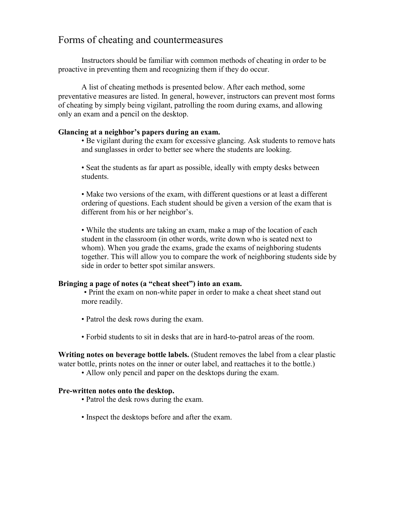## Forms of cheating and countermeasures

Instructors should be familiar with common methods of cheating in order to be proactive in preventing them and recognizing them if they do occur.

A list of cheating methods is presented below. After each method, some preventative measures are listed. In general, however, instructors can prevent most forms of cheating by simply being vigilant, patrolling the room during exams, and allowing only an exam and a pencil on the desktop.

## **Glancing at a neighbor's papers during an exam.**

• Be vigilant during the exam for excessive glancing. Ask students to remove hats and sunglasses in order to better see where the students are looking.

• Seat the students as far apart as possible, ideally with empty desks between students.

• Make two versions of the exam, with different questions or at least a different ordering of questions. Each student should be given a version of the exam that is different from his or her neighbor's.

• While the students are taking an exam, make a map of the location of each student in the classroom (in other words, write down who is seated next to whom). When you grade the exams, grade the exams of neighboring students together. This will allow you to compare the work of neighboring students side by side in order to better spot similar answers.

#### **Bringing a page of notes (a "cheat sheet") into an exam.**

• Print the exam on non-white paper in order to make a cheat sheet stand out more readily.

- Patrol the desk rows during the exam.
- Forbid students to sit in desks that are in hard-to-patrol areas of the room.

**Writing notes on beverage bottle labels.** (Student removes the label from a clear plastic water bottle, prints notes on the inner or outer label, and reattaches it to the bottle.)

• Allow only pencil and paper on the desktops during the exam.

#### **Pre-written notes onto the desktop.**

- Patrol the desk rows during the exam.
- Inspect the desktops before and after the exam.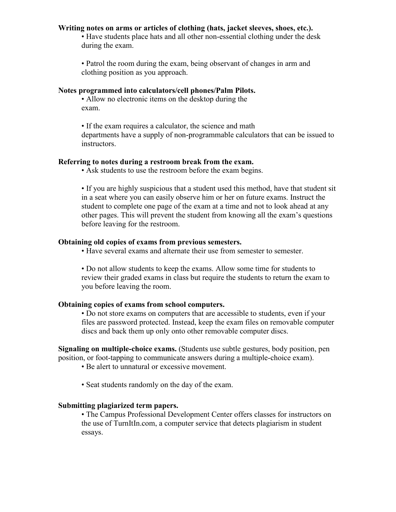### **Writing notes on arms or articles of clothing (hats, jacket sleeves, shoes, etc.).**

• Have students place hats and all other non-essential clothing under the desk during the exam.

• Patrol the room during the exam, being observant of changes in arm and clothing position as you approach.

### **Notes programmed into calculators/cell phones/Palm Pilots.**

• Allow no electronic items on the desktop during the exam.

• If the exam requires a calculator, the science and math departments have a supply of non-programmable calculators that can be issued to instructors.

#### **Referring to notes during a restroom break from the exam.**

• Ask students to use the restroom before the exam begins.

• If you are highly suspicious that a student used this method, have that student sit in a seat where you can easily observe him or her on future exams. Instruct the student to complete one page of the exam at a time and not to look ahead at any other pages. This will prevent the student from knowing all the exam's questions before leaving for the restroom.

## **Obtaining old copies of exams from previous semesters.**

• Have several exams and alternate their use from semester to semester.

• Do not allow students to keep the exams. Allow some time for students to review their graded exams in class but require the students to return the exam to you before leaving the room.

### **Obtaining copies of exams from school computers.**

• Do not store exams on computers that are accessible to students, even if your files are password protected. Instead, keep the exam files on removable computer discs and back them up only onto other removable computer discs.

**Signaling on multiple-choice exams.** (Students use subtle gestures, body position, pen position, or foot-tapping to communicate answers during a multiple-choice exam).

• Be alert to unnatural or excessive movement.

• Seat students randomly on the day of the exam.

## **Submitting plagiarized term papers.**

• The Campus Professional Development Center offers classes for instructors on the use of TurnItIn.com, a computer service that detects plagiarism in student essays.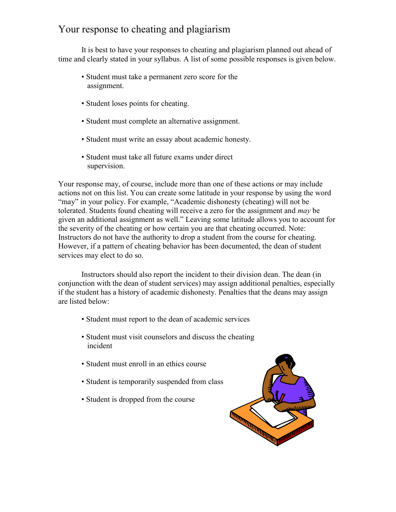# Your response to cheating and plagiarism

It is best to have your responses to cheating and plagiarism planned out ahead of time and clearly stated in your syllabus. A list of some possible responses is given below.

- Student must take a permanent zero score for the assignment.
- Student loses points for cheating.
- Student must complete an alternative assignment.
- Student must write an essay about academic honesty.
- Student must take all future exams under direct supervision.

Your response may, of course, include more than one of these actions or may include actions not on this list. You can create some latitude in your response by using the word "may" in your policy. For example, "Academic dishonesty (cheating) will not be tolerated. Students found cheating will receive a zero for the assignment and *may* be given an additional assignment as well." Leaving some latitude allows you to account for the severity of the cheating or how certain you are that cheating occurred. Note: Instructors do not have the authority to drop a student from the course for cheating. However, if a pattern of cheating behavior has been documented, the dean of student services may elect to do so.

Instructors should also report the incident to their division dean. The dean (in conjunction with the dean of student services) may assign additional penalties, especially if the student has a history of academic dishonesty. Penalties that the deans may assign are listed below:

- Student must report to the dean of academic services
- Student must visit counselors and discuss the cheating incident
- Student must enroll in an ethics course
- Student is temporarily suspended from class
- Student is dropped from the course

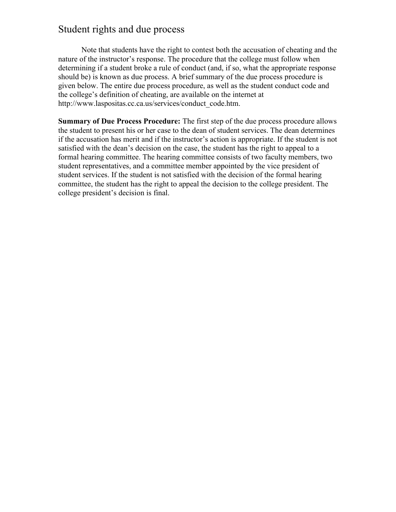## Student rights and due process

Note that students have the right to contest both the accusation of cheating and the nature of the instructor's response. The procedure that the college must follow when determining if a student broke a rule of conduct (and, if so, what the appropriate response should be) is known as due process. A brief summary of the due process procedure is given below. The entire due process procedure, as well as the student conduct code and the college's definition of cheating, are available on the internet at http://www.laspositas.cc.ca.us/services/conduct\_code.htm.

**Summary of Due Process Procedure:** The first step of the due process procedure allows the student to present his or her case to the dean of student services. The dean determines if the accusation has merit and if the instructor's action is appropriate. If the student is not satisfied with the dean's decision on the case, the student has the right to appeal to a formal hearing committee. The hearing committee consists of two faculty members, two student representatives, and a committee member appointed by the vice president of student services. If the student is not satisfied with the decision of the formal hearing committee, the student has the right to appeal the decision to the college president. The college president's decision is final.